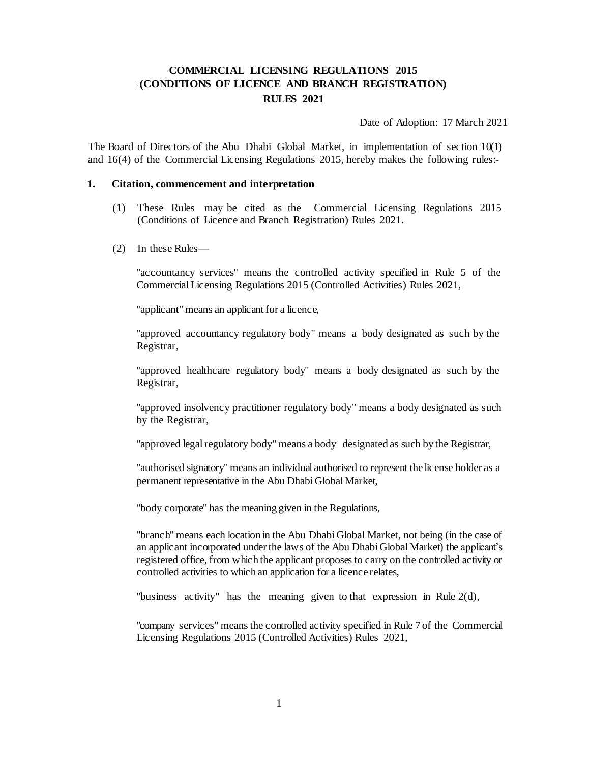# **COMMERCIAL LICENSING REGULATIONS 2015 (CONDITIONS OF LICENCE AND BRANCH REGISTRATION) RULES 2021**

Date of Adoption: 17 March 2021

The Board of Directors of the Abu Dhabi Global Market, in implementation of section  $10(1)$ and 16(4) of the Commercial Licensing Regulations 2015, hereby makes the following rules:-

#### **1. Citation, commencement and interpretation**

- (1) These Rules may be cited as the Commercial Licensing Regulations 2015 (Conditions of Licence and Branch Registration) Rules 2021.
- (2) In these Rules—

"accountancy services" means the controlled activity specified in Rule 5 of the Commercial Licensing Regulations 2015 (Controlled Activities) Rules 2021,

"applicant" means an applicant for a licence,

"approved accountancy regulatory body" means a body designated as such by the Registrar,

"approved healthcare regulatory body" means a body designated as such by the Registrar,

"approved insolvency practitioner regulatory body" means a body designated as such by the Registrar,

"approved legal regulatory body" means a body designated as such by the Registrar,

"authorised signatory" means an individual authorised to represent the license holder as a permanent representative in the Abu Dhabi Global Market,

"body corporate" has the meaning given in the Regulations,

"branch" means each location in the Abu Dhabi Global Market, not being (in the case of an applicant incorporated under the laws of the Abu Dhabi Global Market) the applicant's registered office, from which the applicant proposesto carry on the controlled activity or controlled activities to which an application for a licence relates,

"business activity" has the meaning given to that expression in Rule 2(d),

"company services" meansthe controlled activity specified in Rule 7 of the Commercial Licensing Regulations 2015 (Controlled Activities) Rules 2021,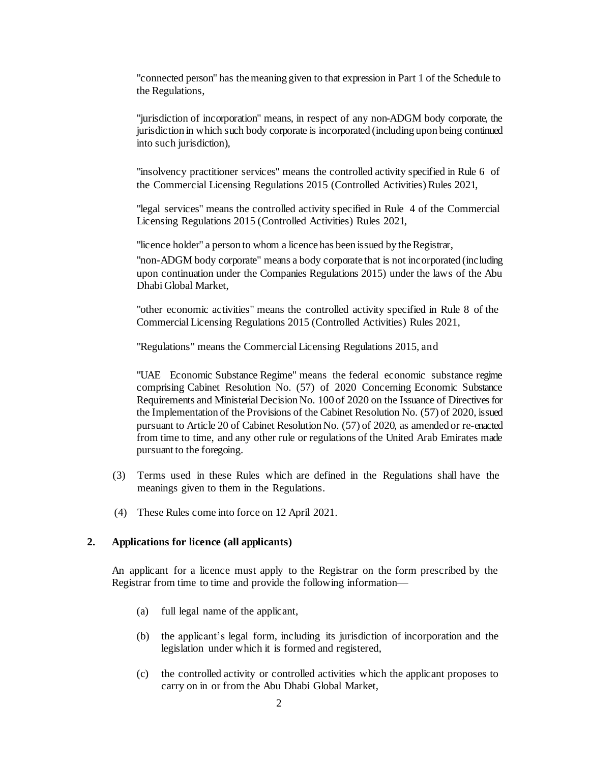"connected person" has themeaning given to that expression in Part 1 of the Schedule to the Regulations,

"jurisdiction of incorporation" means, in respect of any non-ADGM body corporate, the jurisdiction in which such body corporate is incorporated (including upon being continued into such jurisdiction),

"insolvency practitioner services" means the controlled activity specified in Rule 6 of the Commercial Licensing Regulations 2015 (Controlled Activities) Rules 2021,

"legal services" means the controlled activity specified in Rule 4 of the Commercial Licensing Regulations 2015 (Controlled Activities) Rules 2021,

"licence holder" a person to whom a licence has been issued by the Registrar,

"non-ADGM body corporate" means a body corporate that is not incorporated (including upon continuation under the Companies Regulations 2015) under the laws of the Abu Dhabi Global Market,

"other economic activities" means the controlled activity specified in Rule 8 of the Commercial Licensing Regulations 2015 (Controlled Activities) Rules 2021,

"Regulations" means the Commercial Licensing Regulations 2015, and

"UAE Economic Substance Regime" means the federal economic substance regime comprising Cabinet Resolution No. (57) of 2020 Concerning Economic Substance Requirements and Ministerial Decision No. 100 of 2020 on the Issuance of Directives for the Implementation of the Provisions of the Cabinet Resolution No. (57) of 2020, issued pursuant to Article 20 of Cabinet Resolution No. (57) of 2020, as amended or re-enacted from time to time, and any other rule or regulations of the United Arab Emirates made pursuant to the foregoing.

- (3) Terms used in these Rules which are defined in the Regulations shall have the meanings given to them in the Regulations.
- (4) These Rules come into force on 12 April 2021.

#### **2. Applications for licence (all applicants)**

An applicant for a licence must apply to the Registrar on the form prescribed by the Registrar from time to time and provide the following information—

- (a) full legal name of the applicant,
- (b) the applicant's legal form, including its jurisdiction of incorporation and the legislation under which it is formed and registered,
- (c) the controlled activity or controlled activities which the applicant proposes to carry on in or from the Abu Dhabi Global Market,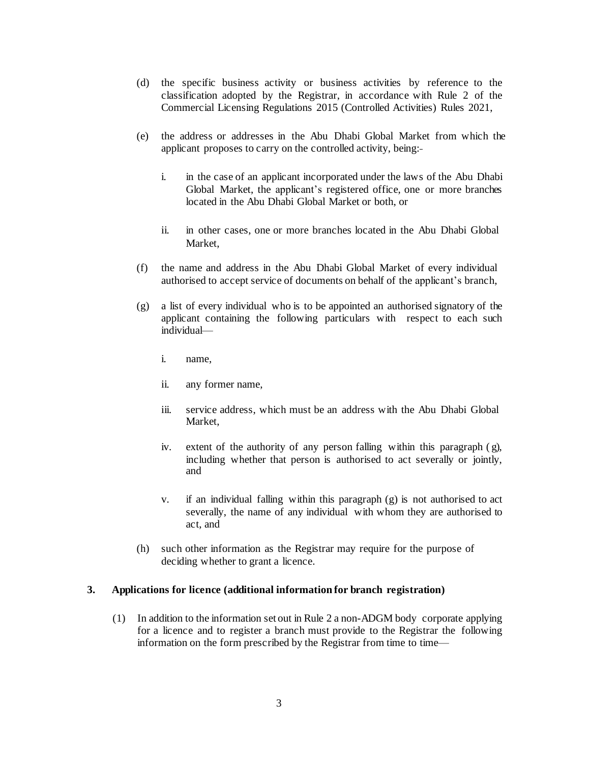- (d) the specific business activity or business activities by reference to the classification adopted by the Registrar, in accordance with Rule 2 of the Commercial Licensing Regulations 2015 (Controlled Activities) Rules 2021,
- (e) the address or addresses in the Abu Dhabi Global Market from which the applicant proposes to carry on the controlled activity, being:
	- i. in the case of an applicant incorporated under the laws of the Abu Dhabi Global Market, the applicant's registered office, one or more branches located in the Abu Dhabi Global Market or both, or
	- ii. in other cases, one or more branches located in the Abu Dhabi Global Market,
- (f) the name and address in the Abu Dhabi Global Market of every individual authorised to accept service of documents on behalf of the applicant's branch,
- (g) a list of every individual who is to be appointed an authorised signatory of the applicant containing the following particulars with respect to each such individual
	- i. name,
	- ii. any former name,
	- iii. service address, which must be an address with the Abu Dhabi Global Market,
	- iv. extent of the authority of any person falling within this paragraph  $(g)$ , including whether that person is authorised to act severally or jointly, and
	- v. if an individual falling within this paragraph (g) is not authorised to act severally, the name of any individual with whom they are authorised to act, and
- (h) such other information as the Registrar may require for the purpose of deciding whether to grant a licence.

### **3. Applications for licence (additional information for branch registration)**

(1) In addition to the information set out in Rule 2 a non-ADGM body corporate applying for a licence and to register a branch must provide to the Registrar the following information on the form prescribed by the Registrar from time to time—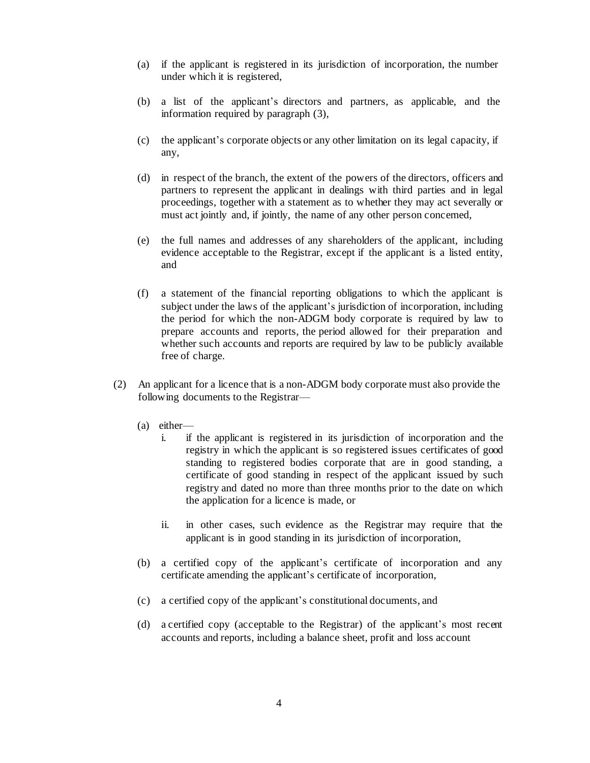- (a) if the applicant is registered in its jurisdiction of incorporation, the number under which it is registered,
- (b) a list of the applicant's directors and partners, as applicable, and the information required by paragraph (3),
- (c) the applicant's corporate objects or any other limitation on its legal capacity, if any,
- (d) in respect of the branch, the extent of the powers of the directors, officers and partners to represent the applicant in dealings with third parties and in legal proceedings, together with a statement as to whether they may act severally or must act jointly and, if jointly, the name of any other person concerned,
- (e) the full names and addresses of any shareholders of the applicant, including evidence acceptable to the Registrar, except if the applicant is a listed entity, and
- (f) a statement of the financial reporting obligations to which the applicant is subject under the laws of the applicant's jurisdiction of incorporation, including the period for which the non-ADGM body corporate is required by law to prepare accounts and reports, the period allowed for their preparation and whether such accounts and reports are required by law to be publicly available free of charge.
- (2) An applicant for a licence that is a non-ADGM body corporate must also provide the following documents to the Registrar—
	- (a) either
		- i. if the applicant is registered in its jurisdiction of incorporation and the registry in which the applicant is so registered issues certificates of good standing to registered bodies corporate that are in good standing, a certificate of good standing in respect of the applicant issued by such registry and dated no more than three months prior to the date on which the application for a licence is made, or
		- ii. in other cases, such evidence as the Registrar may require that the applicant is in good standing in its jurisdiction of incorporation,
	- (b) a certified copy of the applicant's certificate of incorporation and any certificate amending the applicant's certificate of incorporation,
	- (c) a certified copy of the applicant's constitutional documents, and
	- (d) a certified copy (acceptable to the Registrar) of the applicant's most recent accounts and reports, including a balance sheet, profit and loss account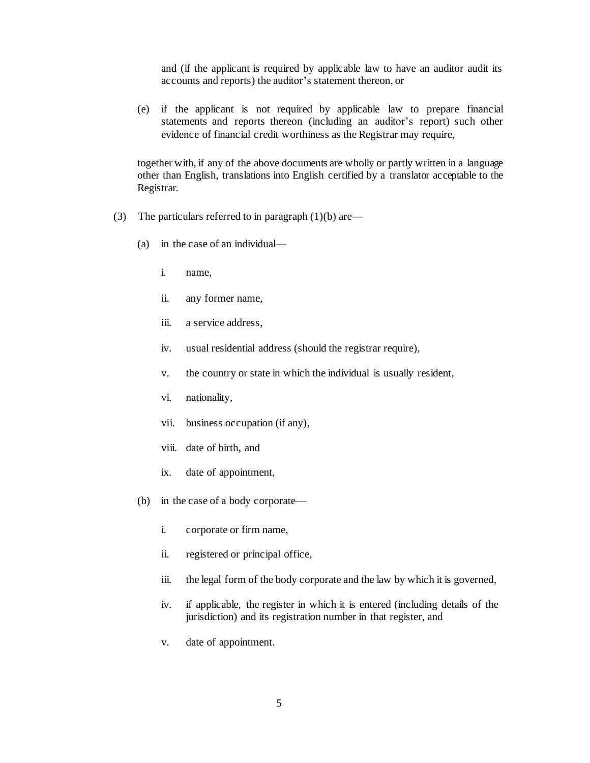and (if the applicant is required by applicable law to have an auditor audit its accounts and reports) the auditor's statement thereon, or

(e) if the applicant is not required by applicable law to prepare financial statements and reports thereon (including an auditor's report) such other evidence of financial credit worthiness as the Registrar may require,

together with, if any of the above documents are wholly or partly written in a language other than English, translations into English certified by a translator acceptable to the Registrar.

- (3) The particulars referred to in paragraph  $(1)(b)$  are—
	- (a) in the case of an individual
		- i. name,
		- ii. any former name,
		- iii. a service address,
		- iv. usual residential address (should the registrar require),
		- v. the country or state in which the individual is usually resident,
		- vi. nationality,
		- vii. business occupation (if any),
		- viii. date of birth, and
		- ix. date of appointment,
	- (b) in the case of a body corporate
		- i. corporate or firm name,
		- ii. registered or principal office,
		- iii. the legal form of the body corporate and the law by which it is governed,
		- iv. if applicable, the register in which it is entered (including details of the jurisdiction) and its registration number in that register, and
		- v. date of appointment.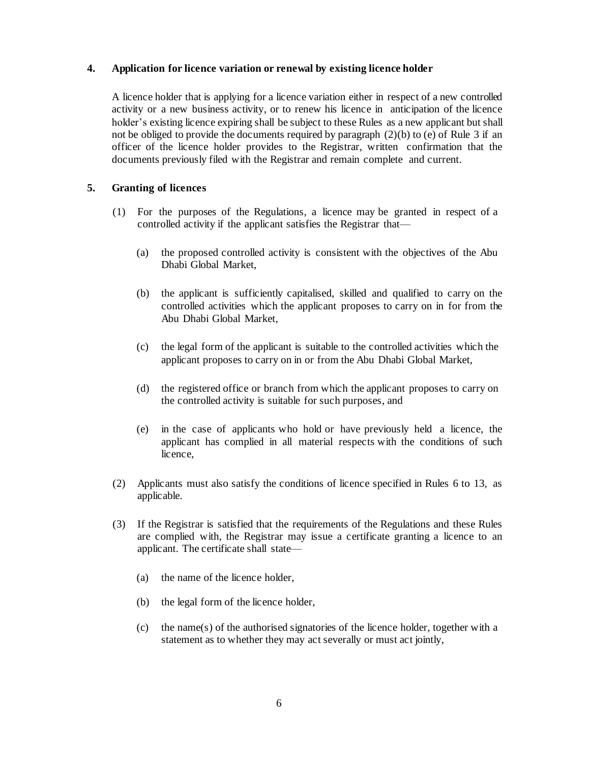## **4. Application for licence variation or renewal by existing licence holder**

A licence holder that is applying for a licence variation either in respect of a new controlled activity or a new business activity, or to renew his licence in anticipation of the licence holder's existing licence expiring shall be subject to these Rules as a new applicant but shall not be obliged to provide the documents required by paragraph  $(2)(b)$  to (e) of Rule 3 if an officer of the licence holder provides to the Registrar, written confirmation that the documents previously filed with the Registrar and remain complete and current.

# **5. Granting of licences**

- (1) For the purposes of the Regulations, a licence may be granted in respect of a controlled activity if the applicant satisfies the Registrar that—
	- (a) the proposed controlled activity is consistent with the objectives of the Abu Dhabi Global Market,
	- (b) the applicant is sufficiently capitalised, skilled and qualified to carry on the controlled activities which the applicant proposes to carry on in for from the Abu Dhabi Global Market,
	- (c) the legal form of the applicant is suitable to the controlled activities which the applicant proposes to carry on in or from the Abu Dhabi Global Market,
	- (d) the registered office or branch from which the applicant proposes to carry on the controlled activity is suitable for such purposes, and
	- (e) in the case of applicants who hold or have previously held a licence, the applicant has complied in all material respects with the conditions of such licence,
- (2) Applicants must also satisfy the conditions of licence specified in Rules 6 to 13, as applicable.
- (3) If the Registrar is satisfied that the requirements of the Regulations and these Rules are complied with, the Registrar may issue a certificate granting a licence to an applicant. The certificate shall state—
	- (a) the name of the licence holder,
	- (b) the legal form of the licence holder,
	- (c) the name(s) of the authorised signatories of the licence holder, together with a statement as to whether they may act severally or must act jointly,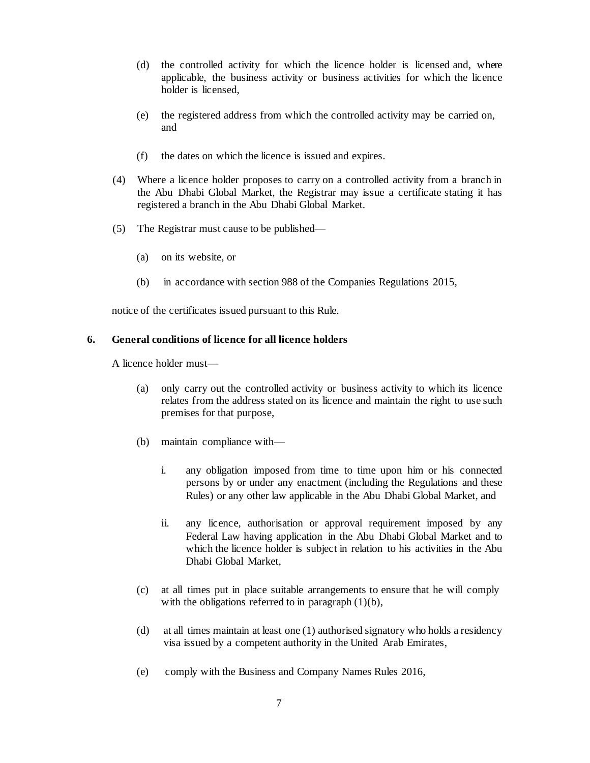- (d) the controlled activity for which the licence holder is licensed and, where applicable, the business activity or business activities for which the licence holder is licensed,
- (e) the registered address from which the controlled activity may be carried on, and
- (f) the dates on which the licence is issued and expires.
- (4) Where a licence holder proposes to carry on a controlled activity from a branch in the Abu Dhabi Global Market, the Registrar may issue a certificate stating it has registered a branch in the Abu Dhabi Global Market.
- (5) The Registrar must cause to be published—
	- (a) on its website, or
	- (b) in accordance with section 988 of the Companies Regulations 2015,

notice of the certificates issued pursuant to this Rule.

## **6. General conditions of licence for all licence holders**

A licence holder must—

- (a) only carry out the controlled activity or business activity to which its licence relates from the address stated on its licence and maintain the right to use such premises for that purpose,
- (b) maintain compliance with
	- i. any obligation imposed from time to time upon him or his connected persons by or under any enactment (including the Regulations and these Rules) or any other law applicable in the Abu Dhabi Global Market, and
	- ii. any licence, authorisation or approval requirement imposed by any Federal Law having application in the Abu Dhabi Global Market and to which the licence holder is subject in relation to his activities in the Abu Dhabi Global Market,
- (c) at all times put in place suitable arrangements to ensure that he will comply with the obligations referred to in paragraph  $(1)(b)$ ,
- (d) at all times maintain at least one (1) authorised signatory who holds a residency visa issued by a competent authority in the United Arab Emirates,
- (e) comply with the Business and Company Names Rules 2016,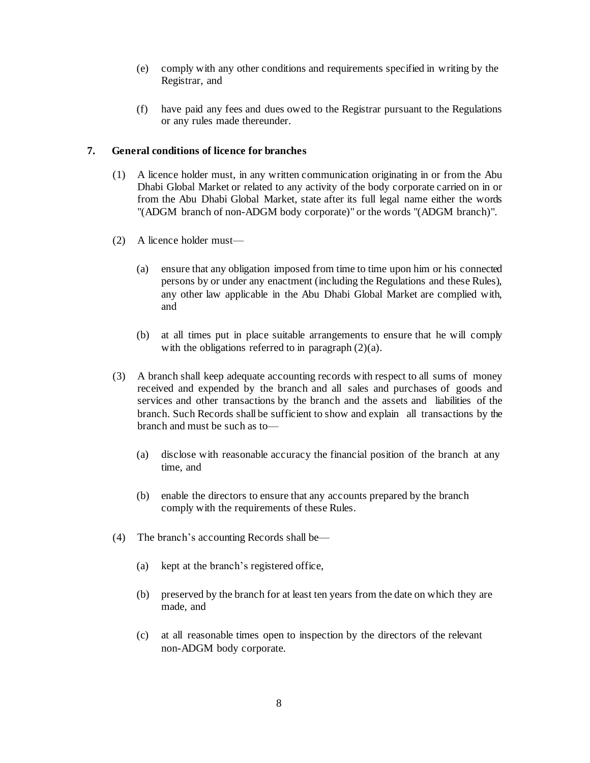- (e) comply with any other conditions and requirements specified in writing by the Registrar, and
- (f) have paid any fees and dues owed to the Registrar pursuant to the Regulations or any rules made thereunder.

# **7. General conditions of licence for branches**

- (1) A licence holder must, in any written communication originating in or from the Abu Dhabi Global Market or related to any activity of the body corporate carried on in or from the Abu Dhabi Global Market, state after its full legal name either the words "(ADGM branch of non-ADGM body corporate)" or the words "(ADGM branch)".
- (2) A licence holder must—
	- (a) ensure that any obligation imposed from time to time upon him or his connected persons by or under any enactment (including the Regulations and these Rules), any other law applicable in the Abu Dhabi Global Market are complied with, and
	- (b) at all times put in place suitable arrangements to ensure that he will comply with the obligations referred to in paragraph  $(2)(a)$ .
- (3) A branch shall keep adequate accounting records with respect to all sums of money received and expended by the branch and all sales and purchases of goods and services and other transactions by the branch and the assets and liabilities of the branch. Such Records shall be sufficient to show and explain all transactions by the branch and must be such as to—
	- (a) disclose with reasonable accuracy the financial position of the branch at any time, and
	- (b) enable the directors to ensure that any accounts prepared by the branch comply with the requirements of these Rules.
- (4) The branch's accounting Records shall be—
	- (a) kept at the branch's registered office,
	- (b) preserved by the branch for at least ten years from the date on which they are made, and
	- (c) at all reasonable times open to inspection by the directors of the relevant non-ADGM body corporate.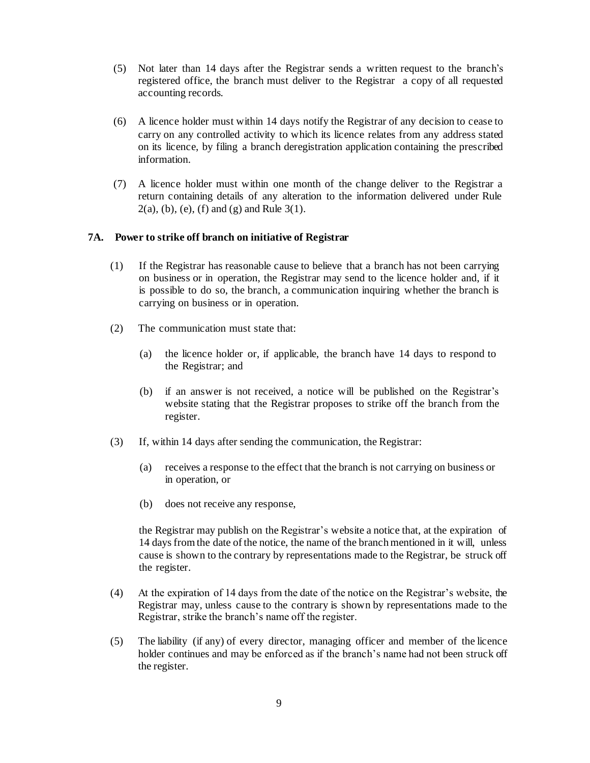- (5) Not later than 14 days after the Registrar sends a written request to the branch's registered office, the branch must deliver to the Registrar a copy of all requested accounting records.
- (6) A licence holder must within 14 days notify the Registrar of any decision to cease to carry on any controlled activity to which its licence relates from any address stated on its licence, by filing a branch deregistration application containing the prescribed information.
- (7) A licence holder must within one month of the change deliver to the Registrar a return containing details of any alteration to the information delivered under Rule  $2(a)$ , (b), (e), (f) and (g) and Rule 3(1).

## **7A. Power to strike off branch on initiative of Registrar**

- (1) If the Registrar has reasonable cause to believe that a branch has not been carrying on business or in operation, the Registrar may send to the licence holder and, if it is possible to do so, the branch, a communication inquiring whether the branch is carrying on business or in operation.
- (2) The communication must state that:
	- (a) the licence holder or, if applicable, the branch have 14 days to respond to the Registrar; and
	- (b) if an answer is not received, a notice will be published on the Registrar's website stating that the Registrar proposes to strike off the branch from the register.
- (3) If, within 14 days after sending the communication, the Registrar:
	- (a) receives a response to the effect that the branch is not carrying on business or in operation, or
	- (b) does not receive any response,

the Registrar may publish on the Registrar's website a notice that, at the expiration of 14 days from the date of the notice, the name of the branch mentioned in it will, unless cause is shown to the contrary by representations made to the Registrar, be struck off the register.

- (4) At the expiration of 14 days from the date of the notice on the Registrar's website, the Registrar may, unless cause to the contrary is shown by representations made to the Registrar, strike the branch's name off the register.
- (5) The liability (if any) of every director, managing officer and member of the licence holder continues and may be enforced as if the branch's name had not been struck off the register.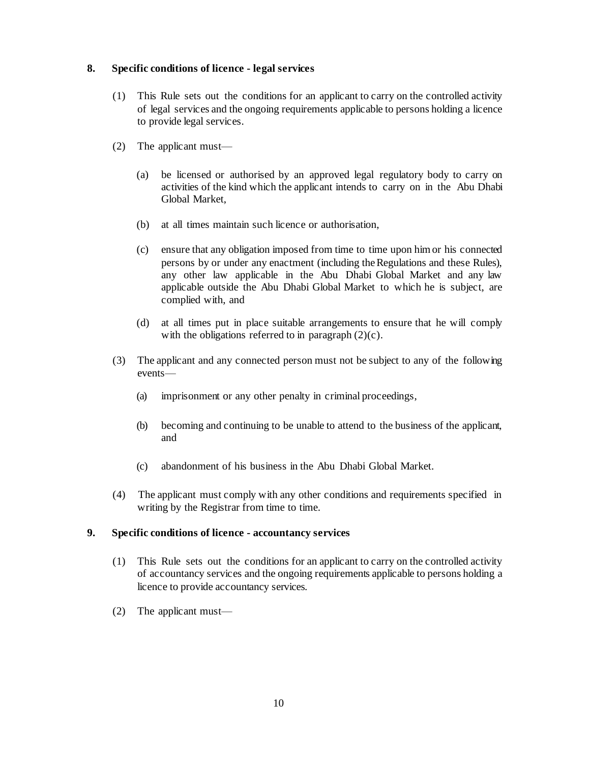## **8. Specific conditions of licence - legal services**

- (1) This Rule sets out the conditions for an applicant to carry on the controlled activity of legal services and the ongoing requirements applicable to persons holding a licence to provide legal services.
- (2) The applicant must—
	- (a) be licensed or authorised by an approved legal regulatory body to carry on activities of the kind which the applicant intends to carry on in the Abu Dhabi Global Market,
	- (b) at all times maintain such licence or authorisation,
	- (c) ensure that any obligation imposed from time to time upon himor his connected persons by or under any enactment (including theRegulations and these Rules), any other law applicable in the Abu Dhabi Global Market and any law applicable outside the Abu Dhabi Global Market to which he is subject, are complied with, and
	- (d) at all times put in place suitable arrangements to ensure that he will comply with the obligations referred to in paragraph  $(2)(c)$ .
- (3) The applicant and any connected person must not be subject to any of the following events—
	- (a) imprisonment or any other penalty in criminal proceedings,
	- (b) becoming and continuing to be unable to attend to the business of the applicant, and
	- (c) abandonment of his business in the Abu Dhabi Global Market.
- (4) The applicant must comply with any other conditions and requirements specified in writing by the Registrar from time to time.

## **9. Specific conditions of licence - accountancy services**

- (1) This Rule sets out the conditions for an applicant to carry on the controlled activity of accountancy services and the ongoing requirements applicable to persons holding a licence to provide accountancy services.
- (2) The applicant must—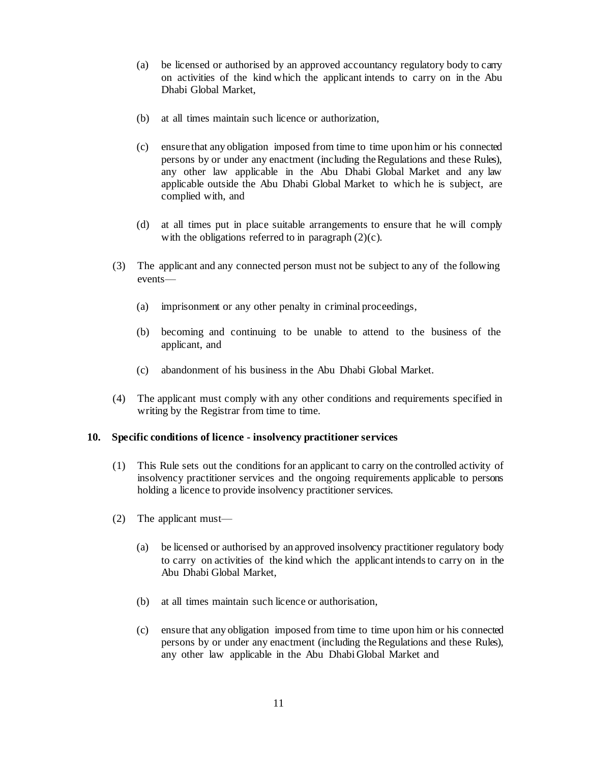- (a) be licensed or authorised by an approved accountancy regulatory body to carry on activities of the kind which the applicant intends to carry on in the Abu Dhabi Global Market,
- (b) at all times maintain such licence or authorization,
- (c) ensure that any obligation imposed from time to time upon him or his connected persons by or under any enactment (including theRegulations and these Rules), any other law applicable in the Abu Dhabi Global Market and any law applicable outside the Abu Dhabi Global Market to which he is subject, are complied with, and
- (d) at all times put in place suitable arrangements to ensure that he will comply with the obligations referred to in paragraph  $(2)(c)$ .
- (3) The applicant and any connected person must not be subject to any of the following events—
	- (a) imprisonment or any other penalty in criminal proceedings,
	- (b) becoming and continuing to be unable to attend to the business of the applicant, and
	- (c) abandonment of his business in the Abu Dhabi Global Market.
- (4) The applicant must comply with any other conditions and requirements specified in writing by the Registrar from time to time.

### **10. Specific conditions of licence - insolvency practitioner services**

- (1) This Rule sets out the conditions for an applicant to carry on the controlled activity of insolvency practitioner services and the ongoing requirements applicable to persons holding a licence to provide insolvency practitioner services.
- (2) The applicant must—
	- (a) be licensed or authorised by an approved insolvency practitioner regulatory body to carry on activities of the kind which the applicant intendsto carry on in the Abu Dhabi Global Market,
	- (b) at all times maintain such licence or authorisation,
	- (c) ensure that any obligation imposed from time to time upon him or his connected persons by or under any enactment (including theRegulations and these Rules), any other law applicable in the Abu Dhabi Global Market and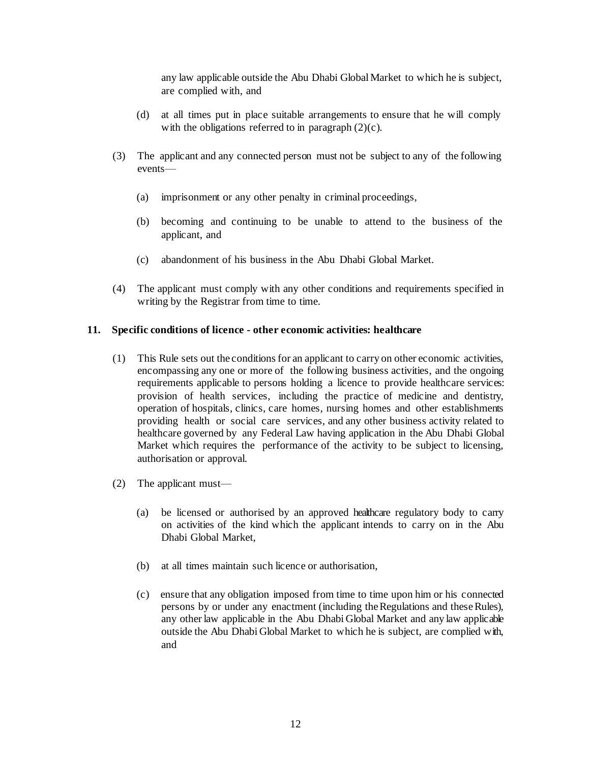any law applicable outside the Abu Dhabi Global Market to which he is subject, are complied with, and

- (d) at all times put in place suitable arrangements to ensure that he will comply with the obligations referred to in paragraph  $(2)(c)$ .
- (3) The applicant and any connected person must not be subject to any of the following events—
	- (a) imprisonment or any other penalty in criminal proceedings,
	- (b) becoming and continuing to be unable to attend to the business of the applicant, and
	- (c) abandonment of his business in the Abu Dhabi Global Market.
- (4) The applicant must comply with any other conditions and requirements specified in writing by the Registrar from time to time.

## **11. Specific conditions of licence - other economic activities: healthcare**

- (1) This Rule sets out the conditionsfor an applicant to carry on other economic activities, encompassing any one or more of the following business activities, and the ongoing requirements applicable to persons holding a licence to provide healthcare services: provision of health services, including the practice of medicine and dentistry, operation of hospitals, clinics, care homes, nursing homes and other establishments providing health or social care services, and any other business activity related to healthcare governed by any Federal Law having application in the Abu Dhabi Global Market which requires the performance of the activity to be subject to licensing, authorisation or approval.
- (2) The applicant must—
	- (a) be licensed or authorised by an approved healthcare regulatory body to carry on activities of the kind which the applicant intends to carry on in the Abu Dhabi Global Market,
	- (b) at all times maintain such licence or authorisation,
	- (c) ensure that any obligation imposed from time to time upon him or his connected persons by or under any enactment (including the Regulations and these Rules), any other law applicable in the Abu Dhabi Global Market and any law applicable outside the Abu Dhabi Global Market to which he is subject, are complied with, and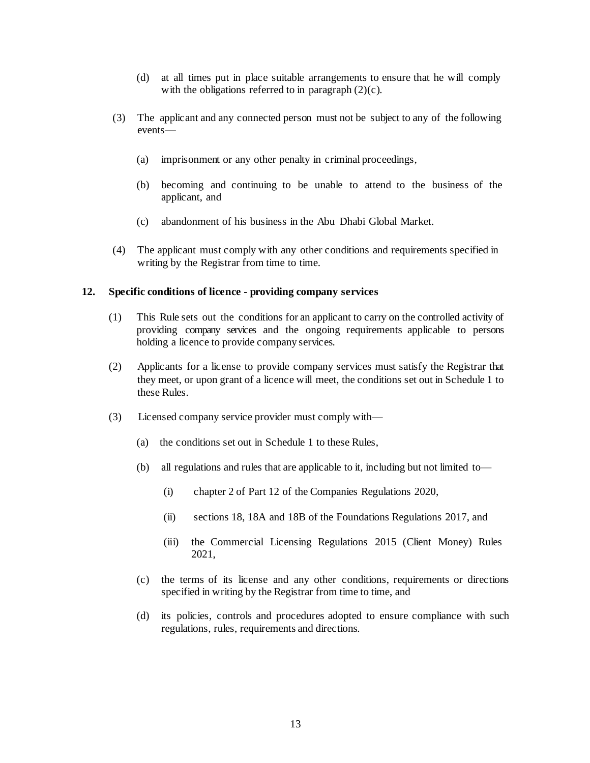- (d) at all times put in place suitable arrangements to ensure that he will comply with the obligations referred to in paragraph  $(2)(c)$ .
- (3) The applicant and any connected person must not be subject to any of the following events—
	- (a) imprisonment or any other penalty in criminal proceedings,
	- (b) becoming and continuing to be unable to attend to the business of the applicant, and
	- (c) abandonment of his business in the Abu Dhabi Global Market.
- (4) The applicant must comply with any other conditions and requirements specified in writing by the Registrar from time to time.

### **12. Specific conditions of licence - providing company services**

- (1) This Rule sets out the conditions for an applicant to carry on the controlled activity of providing company services and the ongoing requirements applicable to persons holding a licence to provide company services.
- (2) Applicants for a license to provide company services must satisfy the Registrar that they meet, or upon grant of a licence will meet, the conditions set out in Schedule 1 to these Rules.
- (3) Licensed company service provider must comply with—
	- (a) the conditions set out in Schedule 1 to these Rules,
	- (b) all regulations and rules that are applicable to it, including but not limited to—
		- (i) chapter 2 of Part 12 of the Companies Regulations 2020,
		- (ii) sections 18, 18A and 18B of the Foundations Regulations 2017, and
		- (iii) the Commercial Licensing Regulations 2015 (Client Money) Rules 2021,
	- (c) the terms of its license and any other conditions, requirements or directions specified in writing by the Registrar from time to time, and
	- (d) its policies, controls and procedures adopted to ensure compliance with such regulations, rules, requirements and directions.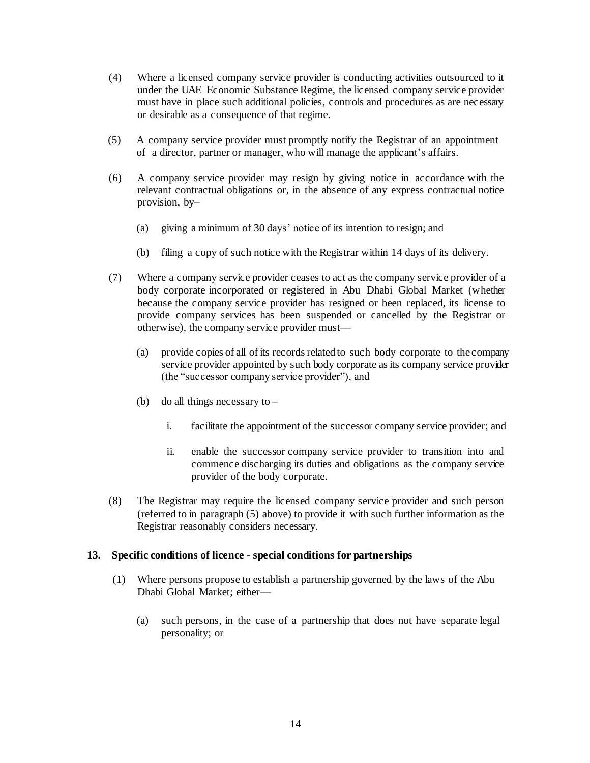- (4) Where a licensed company service provider is conducting activities outsourced to it under the UAE Economic Substance Regime, the licensed company service provider must have in place such additional policies, controls and procedures as are necessary or desirable as a consequence of that regime.
- (5) A company service provider must promptly notify the Registrar of an appointment of a director, partner or manager, who will manage the applicant's affairs.
- (6) A company service provider may resign by giving notice in accordance with the relevant contractual obligations or, in the absence of any express contractual notice provision, by–
	- (a) giving a minimum of 30 days' notice of its intention to resign; and
	- (b) filing a copy of such notice with the Registrar within 14 days of its delivery.
- (7) Where a company service provider ceases to act as the company service provider of a body corporate incorporated or registered in Abu Dhabi Global Market (whether because the company service provider has resigned or been replaced, its license to provide company services has been suspended or cancelled by the Registrar or otherwise), the company service provider must—
	- (a) provide copies of all of its records related to such body corporate to the company service provider appointed by such body corporate as its company service provider (the "successor company service provider"), and
	- (b) do all things necessary to  $$ 
		- i. facilitate the appointment of the successor company service provider; and
		- ii. enable the successor company service provider to transition into and commence discharging its duties and obligations as the company service provider of the body corporate.
- (8) The Registrar may require the licensed company service provider and such person (referred to in paragraph (5) above) to provide it with such further information as the Registrar reasonably considers necessary.

### **13. Specific conditions of licence - special conditions for partnerships**

- (1) Where persons propose to establish a partnership governed by the laws of the Abu Dhabi Global Market; either—
	- (a) such persons, in the case of a partnership that does not have separate legal personality; or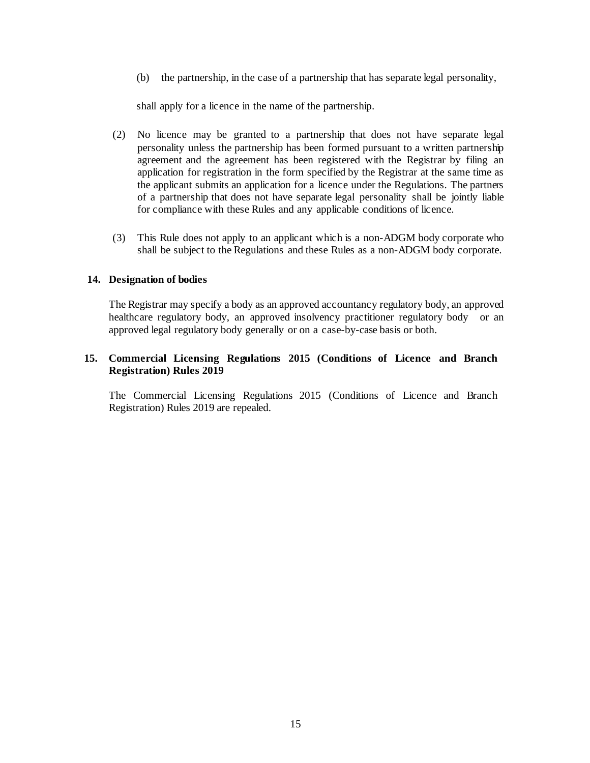(b) the partnership, in the case of a partnership that has separate legal personality,

shall apply for a licence in the name of the partnership.

- (2) No licence may be granted to a partnership that does not have separate legal personality unless the partnership has been formed pursuant to a written partnership agreement and the agreement has been registered with the Registrar by filing an application for registration in the form specified by the Registrar at the same time as the applicant submits an application for a licence under the Regulations. The partners of a partnership that does not have separate legal personality shall be jointly liable for compliance with these Rules and any applicable conditions of licence.
- (3) This Rule does not apply to an applicant which is a non-ADGM body corporate who shall be subject to the Regulations and these Rules as a non-ADGM body corporate.

## **14. Designation of bodies**

The Registrar may specify a body as an approved accountancy regulatory body, an approved healthcare regulatory body, an approved insolvency practitioner regulatory body or an approved legal regulatory body generally or on a case-by-case basis or both.

# **15. Commercial Licensing Regulations 2015 (Conditions of Licence and Branch Registration) Rules 2019**

The Commercial Licensing Regulations 2015 (Conditions of Licence and Branch Registration) Rules 2019 are repealed.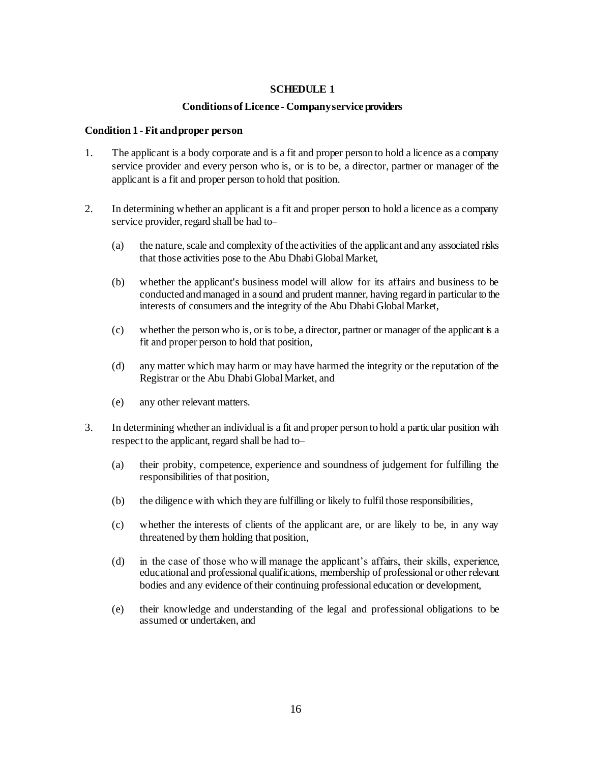# **SCHEDULE 1**

## **ConditionsofLicence - Companyserviceproviders**

### **Condition 1 - Fit andproper person**

- 1. The applicant is a body corporate and is a fit and proper person to hold a licence as a company service provider and every person who is, or is to be, a director, partner or manager of the applicant is a fit and proper person to hold that position.
- 2. In determining whether an applicant is a fit and proper person to hold a licence as a company service provider, regard shall be had to–
	- (a) the nature, scale and complexity of the activities of the applicant and any associated risks that those activities pose to the Abu Dhabi Global Market,
	- (b) whether the applicant's business model will allow for its affairs and business to be conducted and managed in a sound and prudent manner, having regard in particular to the interests of consumers and the integrity of the Abu Dhabi Global Market,
	- (c) whether the person who is, or is to be, a director, partner or manager of the applicant is a fit and proper person to hold that position,
	- (d) any matter which may harm or may have harmed the integrity or the reputation of the Registrar or the Abu Dhabi Global Market, and
	- (e) any other relevant matters.
- 3. In determining whether an individual is a fit and proper person to hold a particular position with respect to the applicant, regard shall be had to–
	- (a) their probity, competence, experience and soundness of judgement for fulfilling the responsibilities of that position,
	- (b) the diligence with which they are fulfilling or likely to fulfil those responsibilities,
	- (c) whether the interests of clients of the applicant are, or are likely to be, in any way threatened by them holding that position,
	- (d) in the case of those who will manage the applicant's affairs, their skills, experience, educational and professional qualifications, membership of professional or other relevant bodies and any evidence of their continuing professional education or development,
	- (e) their knowledge and understanding of the legal and professional obligations to be assumed or undertaken, and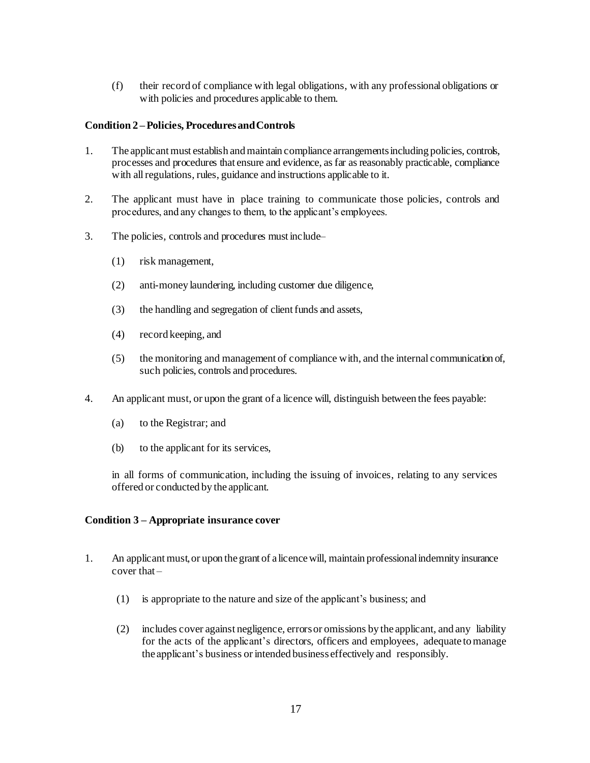(f) their record of compliance with legal obligations, with any professional obligations or with policies and procedures applicable to them.

## **Condition 2 –Policies, ProceduresandControls**

- 1. The applicant must establish and maintain compliance arrangements including policies, controls, processes and procedures that ensure and evidence, as far as reasonably practicable, compliance with all regulations, rules, guidance and instructions applicable to it.
- 2. The applicant must have in place training to communicate those policies, controls and procedures, and any changes to them, to the applicant's employees.
- 3. The policies, controls and procedures must include–
	- (1) risk management,
	- (2) anti-money laundering, including customer due diligence,
	- (3) the handling and segregation of client funds and assets,
	- (4) record keeping, and
	- (5) the monitoring and management of compliance with, and the internal communication of, such policies, controls and procedures.
- 4. An applicant must, or upon the grant of a licence will, distinguish between the fees payable:
	- (a) to the Registrar; and
	- (b) to the applicant for its services,

in all forms of communication, including the issuing of invoices, relating to any services offered or conducted by the applicant.

# **Condition 3 – Appropriate insurance cover**

- 1. An applicant must, or upon the grant of a licence will, maintain professional indemnity insurance cover that –
	- (1) is appropriate to the nature and size of the applicant's business; and
	- (2) includes cover against negligence, errorsor omissions by the applicant, and any liability for the acts of the applicant's directors, officers and employees, adequate tomanage the applicant's business or intended business effectively and responsibly.